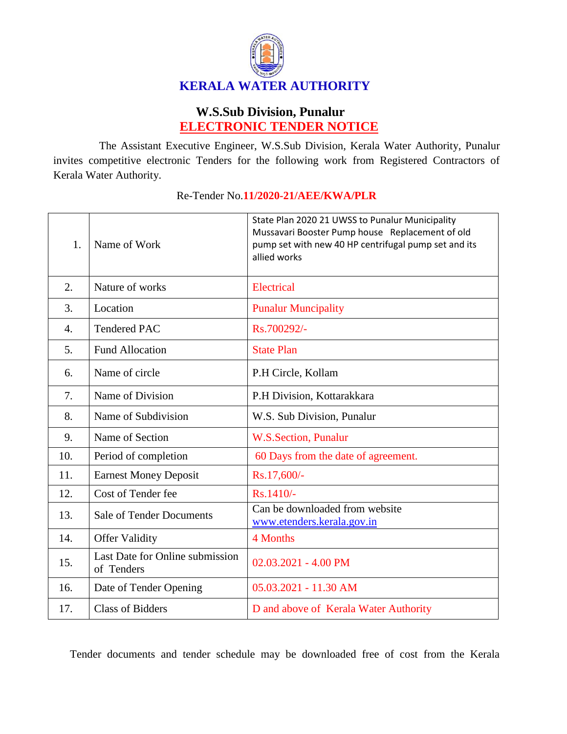

## **W.S.Sub Division, Punalur ELECTRONIC TENDER NOTICE**

The Assistant Executive Engineer, W.S.Sub Division, Kerala Water Authority, Punalur invites competitive electronic Tenders for the following work from Registered Contractors of Kerala Water Authority.

| 1.               | Name of Work                                  | State Plan 2020 21 UWSS to Punalur Municipality<br>Mussavari Booster Pump house Replacement of old<br>pump set with new 40 HP centrifugal pump set and its<br>allied works |
|------------------|-----------------------------------------------|----------------------------------------------------------------------------------------------------------------------------------------------------------------------------|
| 2.               | Nature of works                               | <b>Electrical</b>                                                                                                                                                          |
| 3.               | Location                                      | <b>Punalur Muncipality</b>                                                                                                                                                 |
| $\overline{4}$ . | <b>Tendered PAC</b>                           | Rs.700292/-                                                                                                                                                                |
| 5.               | <b>Fund Allocation</b>                        | <b>State Plan</b>                                                                                                                                                          |
| 6.               | Name of circle                                | P.H Circle, Kollam                                                                                                                                                         |
| 7.               | Name of Division                              | P.H Division, Kottarakkara                                                                                                                                                 |
| 8.               | Name of Subdivision                           | W.S. Sub Division, Punalur                                                                                                                                                 |
| 9.               | Name of Section                               | <b>W.S.Section, Punalur</b>                                                                                                                                                |
| 10.              | Period of completion                          | 60 Days from the date of agreement.                                                                                                                                        |
| 11.              | <b>Earnest Money Deposit</b>                  | Rs.17,600/-                                                                                                                                                                |
| 12.              | Cost of Tender fee                            | Rs.1410/-                                                                                                                                                                  |
| 13.              | <b>Sale of Tender Documents</b>               | Can be downloaded from website<br>www.etenders.kerala.gov.in                                                                                                               |
| 14.              | <b>Offer Validity</b>                         | 4 Months                                                                                                                                                                   |
| 15.              | Last Date for Online submission<br>of Tenders | 02.03.2021 - 4.00 PM                                                                                                                                                       |
| 16.              | Date of Tender Opening                        | 05.03.2021 - 11.30 AM                                                                                                                                                      |
| 17.              | <b>Class of Bidders</b>                       | D and above of Kerala Water Authority                                                                                                                                      |

## Re-Tender No.**11/2020-21/AEE/KWA/PLR**

Tender documents and tender schedule may be downloaded free of cost from the Kerala